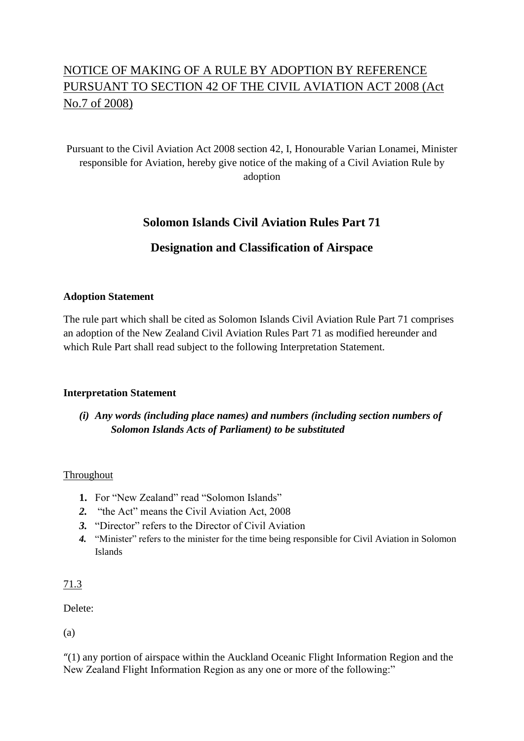# NOTICE OF MAKING OF A RULE BY ADOPTION BY REFERENCE PURSUANT TO SECTION 42 OF THE CIVIL AVIATION ACT 2008 (Act No.7 of 2008)

# Pursuant to the Civil Aviation Act 2008 section 42, I, Honourable Varian Lonamei, Minister responsible for Aviation, hereby give notice of the making of a Civil Aviation Rule by adoption

# **Solomon Islands Civil Aviation Rules Part 71**

# **Designation and Classification of Airspace**

#### **Adoption Statement**

The rule part which shall be cited as Solomon Islands Civil Aviation Rule Part 71 comprises an adoption of the New Zealand Civil Aviation Rules Part 71 as modified hereunder and which Rule Part shall read subject to the following Interpretation Statement.

#### **Interpretation Statement**

# *(i) Any words (including place names) and numbers (including section numbers of Solomon Islands Acts of Parliament) to be substituted*

#### Throughout

- 1. For "New Zealand" read "Solomon Islands"
- *2.* "the Act" means the Civil Aviation Act, 2008
- *3.* "Director" refers to the Director of Civil Aviation
- *4.* "Minister" refers to the minister for the time being responsible for Civil Aviation in Solomon Islands

#### 71.3

Delete:

(a)

"(1) any portion of airspace within the Auckland Oceanic Flight Information Region and the New Zealand Flight Information Region as any one or more of the following:"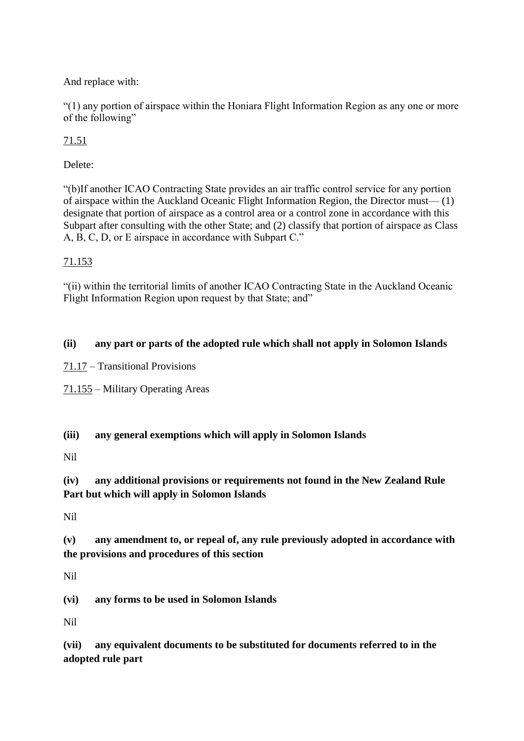And replace with:

"(1) any portion of airspace within the Honiara Flight Information Region as any one or more of the following"

71.51

Delete:

"(b)If another ICAO Contracting State provides an air traffic control service for any portion of airspace within the Auckland Oceanic Flight Information Region, the Director must— (1) designate that portion of airspace as a control area or a control zone in accordance with this Subpart after consulting with the other State; and (2) classify that portion of airspace as Class A, B, C, D, or E airspace in accordance with Subpart C."

# 71.153

"(ii) within the territorial limits of another ICAO Contracting State in the Auckland Oceanic Flight Information Region upon request by that State; and"

# **(ii) any part or parts of the adopted rule which shall not apply in Solomon Islands**

71.17 – Transitional Provisions

71.155 – Military Operating Areas

**(iii) any general exemptions which will apply in Solomon Islands**

Nil

# **(iv) any additional provisions or requirements not found in the New Zealand Rule Part but which will apply in Solomon Islands**

Nil

**(v) any amendment to, or repeal of, any rule previously adopted in accordance with the provisions and procedures of this section**

Nil

**(vi) any forms to be used in Solomon Islands**

Nil

**(vii) any equivalent documents to be substituted for documents referred to in the adopted rule part**